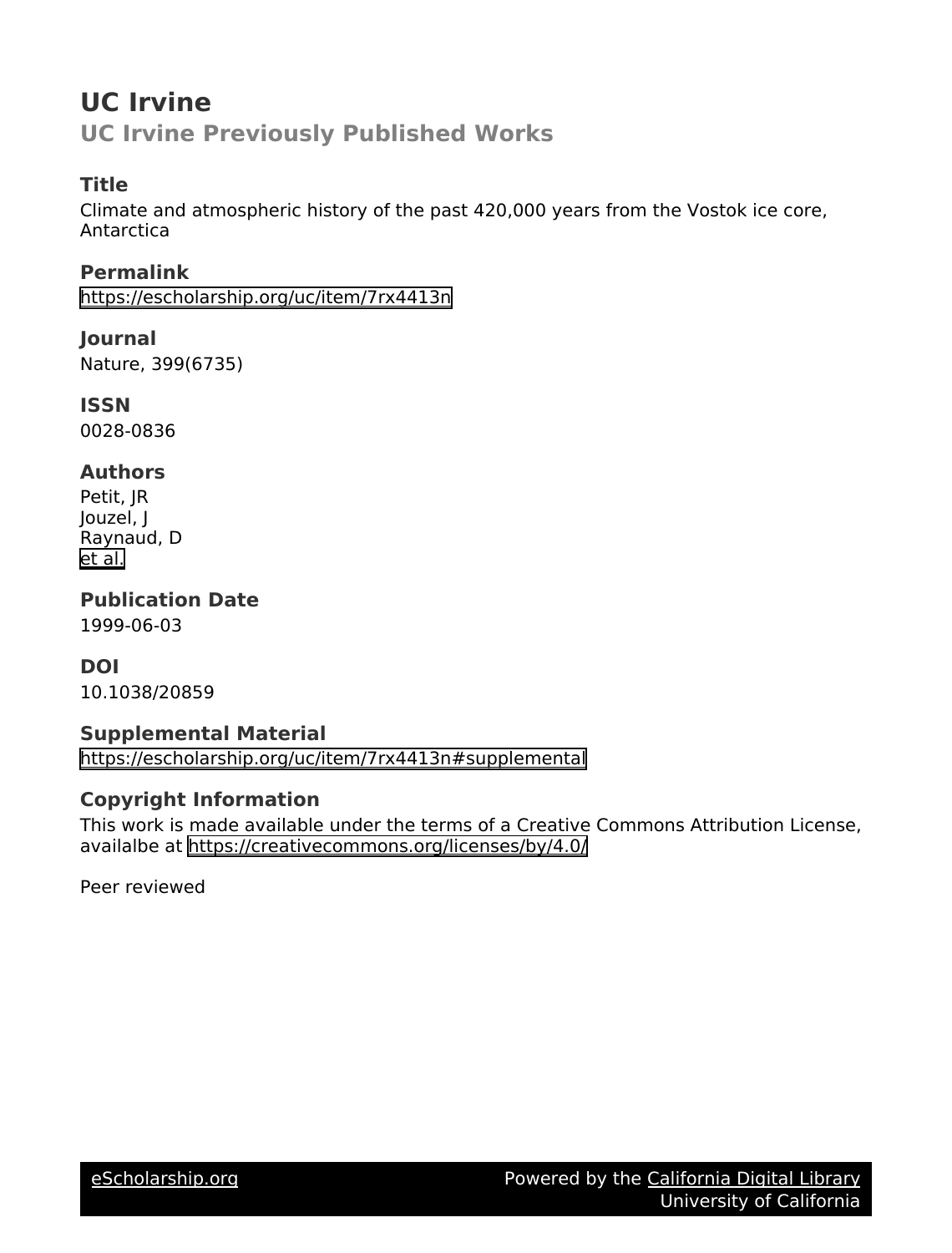# **UC Irvine UC Irvine Previously Published Works**

#### **Title**

Climate and atmospheric history of the past 420,000 years from the Vostok ice core, Antarctica

**Permalink** <https://escholarship.org/uc/item/7rx4413n>

**Journal** Nature, 399(6735)

**ISSN** 0028-0836

### **Authors**

Petit, JR Jouzel, J Raynaud, D [et al.](https://escholarship.org/uc/item/7rx4413n#author)

**Publication Date** 1999-06-03

### **DOI**

10.1038/20859

### **Supplemental Material**

<https://escholarship.org/uc/item/7rx4413n#supplemental>

### **Copyright Information**

This work is made available under the terms of a Creative Commons Attribution License, availalbe at <https://creativecommons.org/licenses/by/4.0/>

Peer reviewed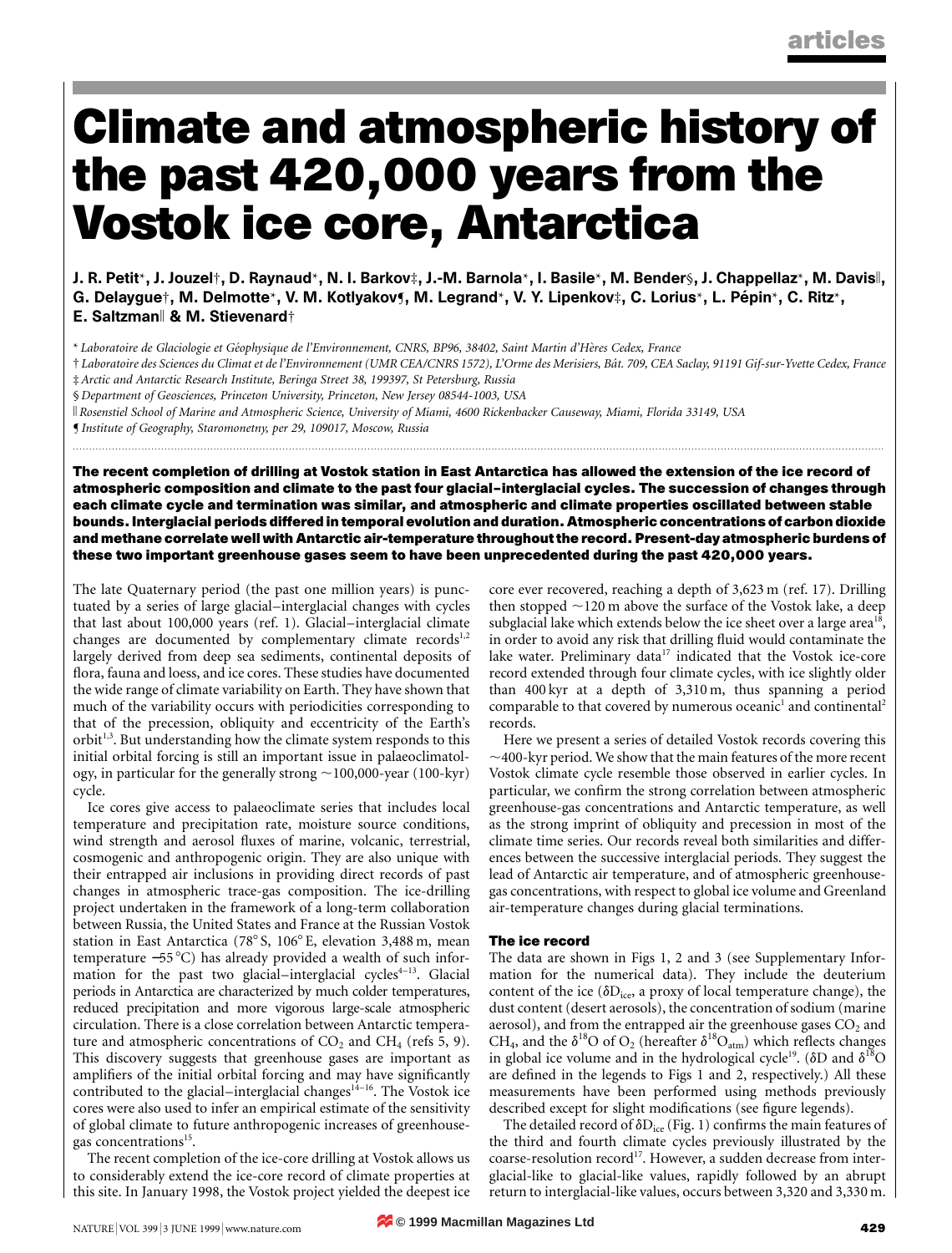# **Climate and atmospheric history of the past 420,000 years from the Vostok ice core, Antarctica**

J. R. Petit\*, J. Jouzel†, D. Raynaud\*, N. I. Barkov‡, J.-M. Barnola\*, I. Basile\*, M. Bender§, J. Chappellaz\*, M. Davisk, G. Delaygue†, M. Delmotte\*, V. M. Kotlyakov¶, M. Legrand\*, V. Y. Lipenkov‡, C. Lorius\*, L. Pépin\*, C. Ritz\*, E. Saltzman|| & M. Stievenard†

\* *Laboratoire de Glaciologie et Ge´ophysique de l'Environnement, CNRS, BP96, 38402, Saint Martin d'He`res Cedex, France*

† *Laboratoire des Sciences du Climat et de l'Environnement (UMR CEA/CNRS 1572), L'Orme des Merisiers, Baˆt. 709, CEA Saclay, 91191 Gif-sur-Yvette Cedex, France* ‡ *Arctic and Antarctic Research Institute, Beringa Street 38, 199397, St Petersburg, Russia*

§ *Department of Geosciences, Princeton University, Princeton, New Jersey 08544-1003, USA*

k *Rosenstiel School of Marine and Atmospheric Science, University of Miami, 4600 Rickenbacker Causeway, Miami, Florida 33149, USA*

¶ *Institute of Geography, Staromonetny, per 29, 109017, Moscow, Russia*

**The recent completion of drilling at Vostok station in East Antarctica has allowed the extension of the ice record of atmospheric composition and climate to the past four glacial–interglacial cycles. The succession of changes through each climate cycle and termination was similar, and atmospheric and climate properties oscillated between stable bounds. Interglacial periods differed in temporal evolution and duration. Atmospheric concentrations of carbon dioxide and methane correlate well with Antarctic air-temperature throughout the record. Present-day atmospheric burdens of these two important greenhouse gases seem to have been unprecedented during the past 420,000 years.**

............................................................................................................................... .........................................................................................................................

The late Quaternary period (the past one million years) is punctuated by a series of large glacial–interglacial changes with cycles that last about 100,000 years (ref. 1). Glacial–interglacial climate changes are documented by complementary climate records $1,2$ largely derived from deep sea sediments, continental deposits of flora, fauna and loess, and ice cores. These studies have documented the wide range of climate variability on Earth. They have shown that much of the variability occurs with periodicities corresponding to that of the precession, obliquity and eccentricity of the Earth's orbit<sup>1,3</sup>. But understanding how the climate system responds to this initial orbital forcing is still an important issue in palaeoclimatology, in particular for the generally strong  $\sim$  100,000-year (100-kyr) cycle.

Ice cores give access to palaeoclimate series that includes local temperature and precipitation rate, moisture source conditions, wind strength and aerosol fluxes of marine, volcanic, terrestrial, cosmogenic and anthropogenic origin. They are also unique with their entrapped air inclusions in providing direct records of past changes in atmospheric trace-gas composition. The ice-drilling project undertaken in the framework of a long-term collaboration between Russia, the United States and France at the Russian Vostok station in East Antarctica (78° S, 106° E, elevation 3,488 m, mean temperature −55 °C) has already provided a wealth of such information for the past two glacial–interglacial cycles $4-13$ . Glacial periods in Antarctica are characterized by much colder temperatures, reduced precipitation and more vigorous large-scale atmospheric circulation. There is a close correlation between Antarctic temperature and atmospheric concentrations of  $CO<sub>2</sub>$  and  $CH<sub>4</sub>$  (refs 5, 9). This discovery suggests that greenhouse gases are important as amplifiers of the initial orbital forcing and may have significantly contributed to the glacial–interglacial changes<sup>14-16</sup>. The Vostok ice cores were also used to infer an empirical estimate of the sensitivity of global climate to future anthropogenic increases of greenhousegas concentrations<sup>15</sup>.

The recent completion of the ice-core drilling at Vostok allows us to considerably extend the ice-core record of climate properties at this site. In January 1998, the Vostok project yielded the deepest ice core ever recovered, reaching a depth of 3,623 m (ref. 17). Drilling then stopped  $\sim$ 120 m above the surface of the Vostok lake, a deep subglacial lake which extends below the ice sheet over a large area<sup>18</sup>, in order to avoid any risk that drilling fluid would contaminate the lake water. Preliminary data<sup>17</sup> indicated that the Vostok ice-core record extended through four climate cycles, with ice slightly older than 400 kyr at a depth of 3,310 m, thus spanning a period comparable to that covered by numerous oceanic<sup>1</sup> and continental<sup>2</sup> records.

Here we present a series of detailed Vostok records covering this  $\sim$ 400-kyr period. We show that the main features of the more recent Vostok climate cycle resemble those observed in earlier cycles. In particular, we confirm the strong correlation between atmospheric greenhouse-gas concentrations and Antarctic temperature, as well as the strong imprint of obliquity and precession in most of the climate time series. Our records reveal both similarities and differences between the successive interglacial periods. They suggest the lead of Antarctic air temperature, and of atmospheric greenhousegas concentrations, with respect to global ice volume and Greenland air-temperature changes during glacial terminations.

#### **The ice record**

The data are shown in Figs 1, 2 and 3 (see Supplementary Information for the numerical data). They include the deuterium content of the ice ( $\delta D_{\text{ice}}$ , a proxy of local temperature change), the dust content (desert aerosols), the concentration of sodium (marine aerosol), and from the entrapped air the greenhouse gases  $\mathrm{CO}_2$  and CH<sub>4</sub>, and the  $\delta^{18}O$  of O<sub>2</sub> (hereafter  $\delta^{18}O_{\text{atm}}$ ) which reflects changes in global ice volume and in the hydrological cycle<sup>19</sup>. ( $\delta$ D and  $\delta^{18}$ O are defined in the legends to Figs 1 and 2, respectively.) All these measurements have been performed using methods previously described except for slight modifications (see figure legends).

The detailed record of  $\delta D_{\text{ice}}$  (Fig. 1) confirms the main features of the third and fourth climate cycles previously illustrated by the coarse-resolution record<sup>17</sup>. However, a sudden decrease from interglacial-like to glacial-like values, rapidly followed by an abrupt return to interglacial-like values, occurs between 3,320 and 3,330 m.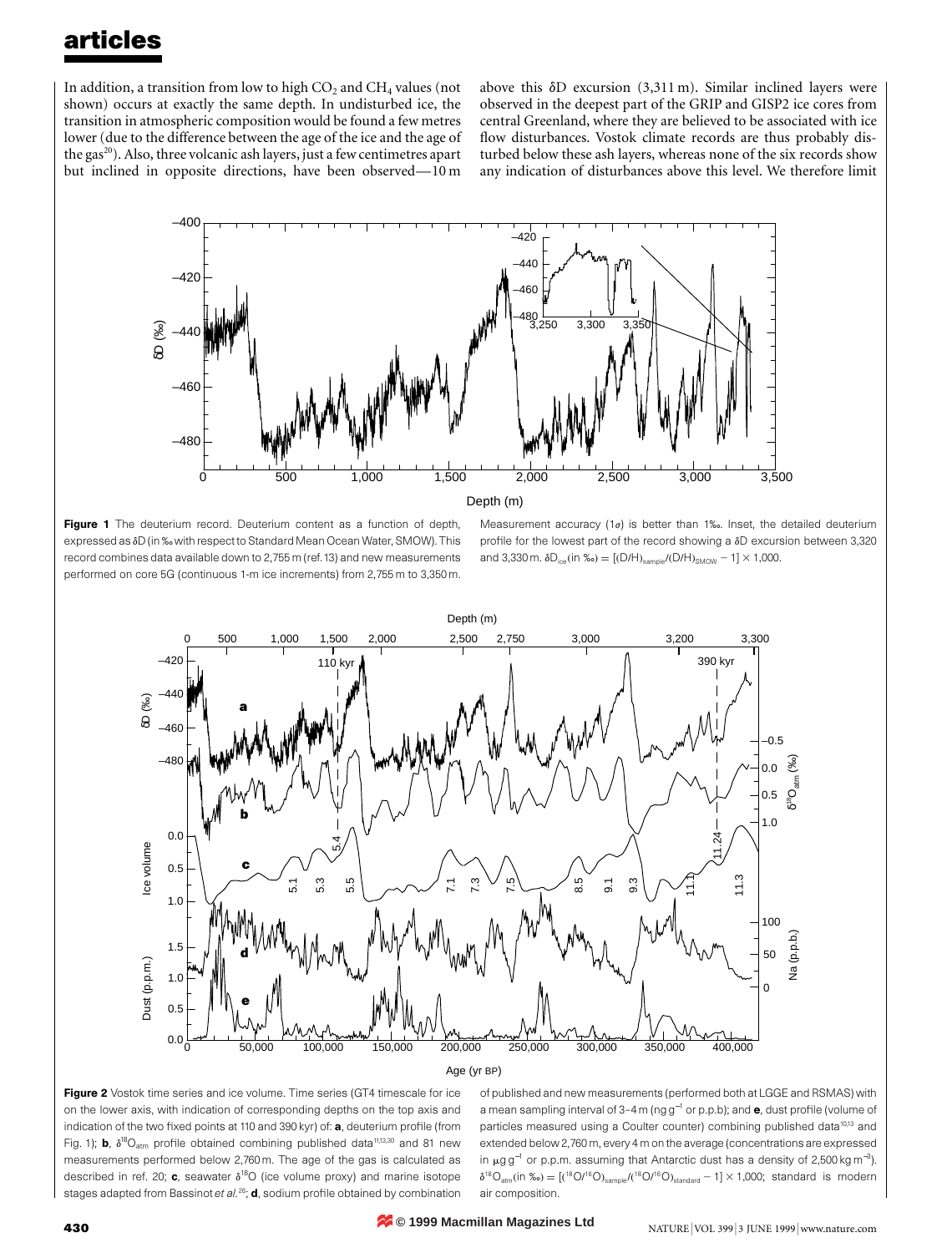In addition, a transition from low to high  $CO<sub>2</sub>$  and  $CH<sub>4</sub>$  values (not shown) occurs at exactly the same depth. In undisturbed ice, the transition in atmospheric composition would be found a few metres lower (due to the difference between the age of the ice and the age of the gas<sup>20</sup>). Also, three volcanic ash layers, just a few centimetres apart but inclined in opposite directions, have been observed—10 m

above this  $\delta D$  excursion (3,311 m). Similar inclined layers were observed in the deepest part of the GRIP and GISP2 ice cores from central Greenland, where they are believed to be associated with ice flow disturbances. Vostok climate records are thus probably disturbed below these ash layers, whereas none of the six records show any indication of disturbances above this level. We therefore limit





Measurement accuracy (1 $\sigma$ ) is better than 1‰. Inset, the detailed deuterium profile for the lowest part of the record showing a  $\delta D$  excursion between 3,320 and 3,330 m.  $\delta D_{ice}$ (in ‰) = [(D/H)<sub>sample</sub>/(D/H)<sub>SMOW</sub> - 1] × 1,000.



#### Age (yr BP)

Figure 2 Vostok time series and ice volume. Time series (GT4 timescale for ice on the lower axis, with indication of corresponding depths on the top axis and indication of the two fixed points at 110 and 390 kyr) of: a, deuterium profile (from Fig. 1); **b**,  $\delta^{18}O_{\text{atm}}$  profile obtained combining published data<sup>11,13,30</sup> and 81 new measurements performed below 2,760 m. The age of the gas is calculated as described in ref. 20; c, seawater  $\delta^{18}O$  (ice volume proxy) and marine isotope stages adapted from Bassinot et al.<sup>26</sup>; **d**, sodium profile obtained by combination of published and new measurements (performed both at LGGE and RSMAS) with a mean sampling interval of 3–4 m (ng g<sup>-1</sup> or p.p.b); and e, dust profile (volume of particles measured using a Coulter counter) combining published data<sup>10,13</sup> and extended below 2,760 m, every 4 m on the average (concentrations are expressed in µg g<sup>−1</sup> or p.p.m. assuming that Antarctic dust has a density of 2,500 kg m<sup>−3</sup>).  $\delta^{18}O_{\text{atm}}$ (in ‰) = [( $^{18}O/^{16}O$ )<sub>sample</sub>/( $^{18}O/^{16}O$ )<sub>standard</sub> - 1] × 1,000; standard is modern air composition.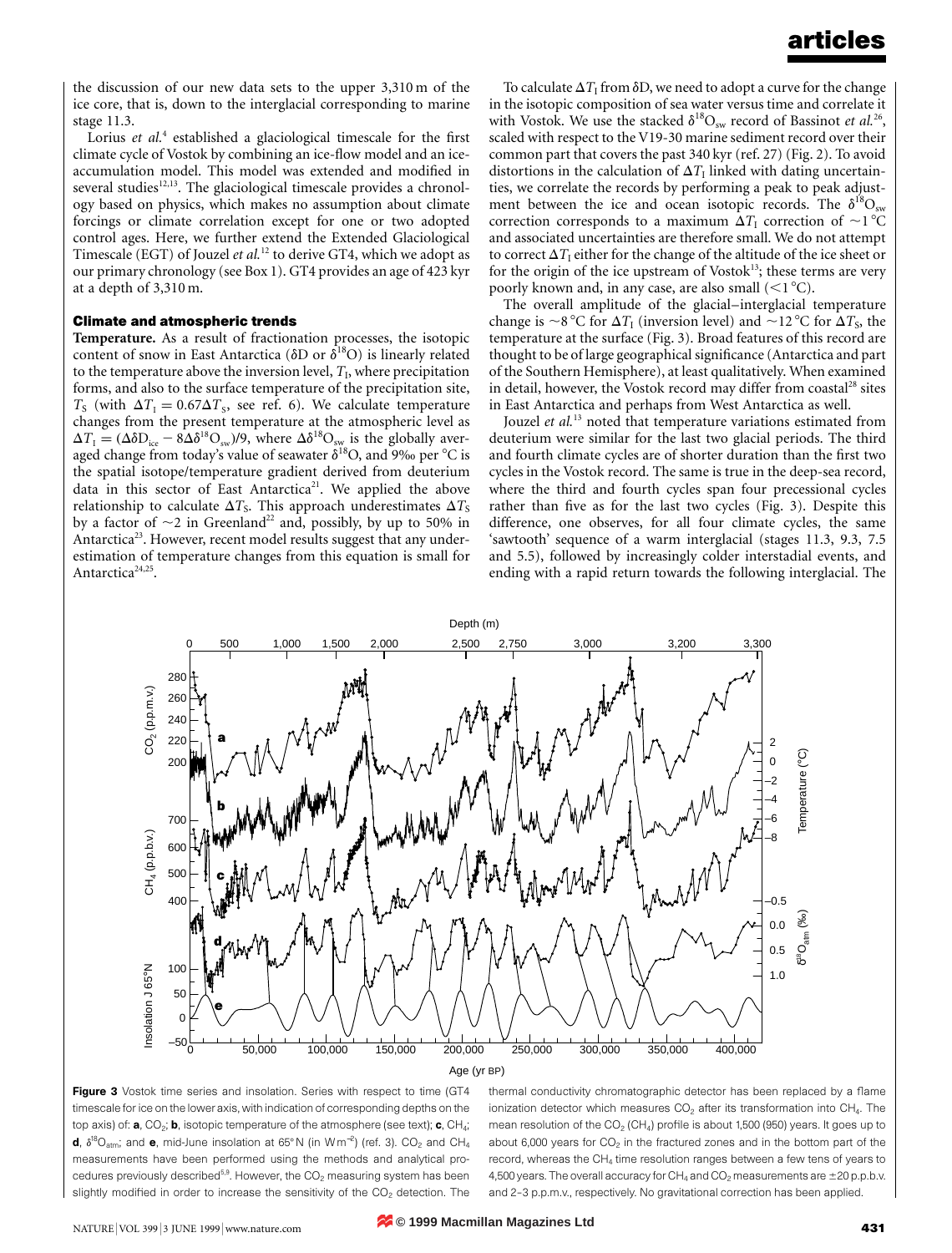the discussion of our new data sets to the upper 3,310 m of the ice core, that is, down to the interglacial corresponding to marine stage 11.3.

Lorius *et al.*<sup>4</sup> established a glaciological timescale for the first climate cycle of Vostok by combining an ice-flow model and an iceaccumulation model. This model was extended and modified in several studies $12,13$ . The glaciological timescale provides a chronology based on physics, which makes no assumption about climate forcings or climate correlation except for one or two adopted control ages. Here, we further extend the Extended Glaciological Timescale (EGT) of Jouzel *et al.*<sup>12</sup> to derive GT4, which we adopt as our primary chronology (see Box 1). GT4 provides an age of 423 kyr at a depth of 3,310 m.

#### **Climate and atmospheric trends**

**Temperature.** As a result of fractionation processes, the isotopic content of snow in East Antarctica ( $\delta$ D or  $\delta^{18}$ O) is linearly related to the temperature above the inversion level,  $T<sub>1</sub>$ , where precipitation forms, and also to the surface temperature of the precipitation site,  $T_S$  (with  $\Delta T_I = 0.67 \Delta T_S$ , see ref. 6). We calculate temperature changes from the present temperature at the atmospheric level as  $\Delta T_{\rm I} = (\Delta \delta D_{\rm ice} - 8 \Delta \delta^{18} \text{O}_{\rm sw})/9$ , where  $\Delta \delta^{18} \text{O}_{\rm sw}$  is the globally averaged change from today's value of seawater  $\delta^{18}O$ , and 9‰ per °C is the spatial isotope/temperature gradient derived from deuterium data in this sector of East Antarctica<sup>21</sup>. We applied the above relationship to calculate  $\Delta T_S$ . This approach underestimates  $\Delta T_S$ by a factor of  $\sim$ 2 in Greenland<sup>22</sup> and, possibly, by up to 50% in Antarctica<sup>23</sup>. However, recent model results suggest that any underestimation of temperature changes from this equation is small for Antarctica<sup>24,25</sup>.

To calculate  $\Delta T_I$  from  $\delta D$ , we need to adopt a curve for the change in the isotopic composition of sea water versus time and correlate it with Vostok. We use the stacked  $\delta^{18}O_{sw}$  record of Bassinot *et al.*<sup>26</sup>, scaled with respect to the V19-30 marine sediment record over their common part that covers the past 340 kyr (ref. 27) (Fig. 2). To avoid distortions in the calculation of  $\Delta T_I$  linked with dating uncertainties, we correlate the records by performing a peak to peak adjustment between the ice and ocean isotopic records. The  $\delta^{18}O_{sw}$ correction corresponds to a maximum  $\Delta T_{\text{I}}$  correction of  $\sim$ 1 °C and associated uncertainties are therefore small. We do not attempt to correct  $\Delta T_1$  either for the change of the altitude of the ice sheet or for the origin of the ice upstream of Vosto $k^{13}$ ; these terms are very poorly known and, in any case, are also small  $(<1°C)$ .

The overall amplitude of the glacial–interglacial temperature change is  $\sim$ 8 °C for  $\Delta T_I$  (inversion level) and  $\sim$ 12 °C for  $\Delta T_S$ , the temperature at the surface (Fig. 3). Broad features of this record are thought to be of large geographical significance (Antarctica and part of the Southern Hemisphere), at least qualitatively. When examined in detail, however, the Vostok record may differ from coastal<sup>28</sup> sites in East Antarctica and perhaps from West Antarctica as well.

Jouzel *et al.*<sup>13</sup> noted that temperature variations estimated from deuterium were similar for the last two glacial periods. The third and fourth climate cycles are of shorter duration than the first two cycles in the Vostok record. The same is true in the deep-sea record, where the third and fourth cycles span four precessional cycles rather than five as for the last two cycles (Fig. 3). Despite this difference, one observes, for all four climate cycles, the same 'sawtooth' sequence of a warm interglacial (stages 11.3, 9.3, 7.5 and 5.5), followed by increasingly colder interstadial events, and ending with a rapid return towards the following interglacial. The





thermal conductivity chromatographic detector has been replaced by a flame ionization detector which measures  $CO<sub>2</sub>$  after its transformation into  $CH<sub>4</sub>$ . The mean resolution of the  $CO<sub>2</sub>$  (CH<sub>4</sub>) profile is about 1,500 (950) years. It goes up to about 6,000 years for  $CO<sub>2</sub>$  in the fractured zones and in the bottom part of the record, whereas the CH4 time resolution ranges between a few tens of years to 4,500 years. The overall accuracy for  $CH_4$  and  $CO_2$  measurements are  $\pm 20$  p.p.b.v. and 2–3 p.p.m.v., respectively. No gravitational correction has been applied.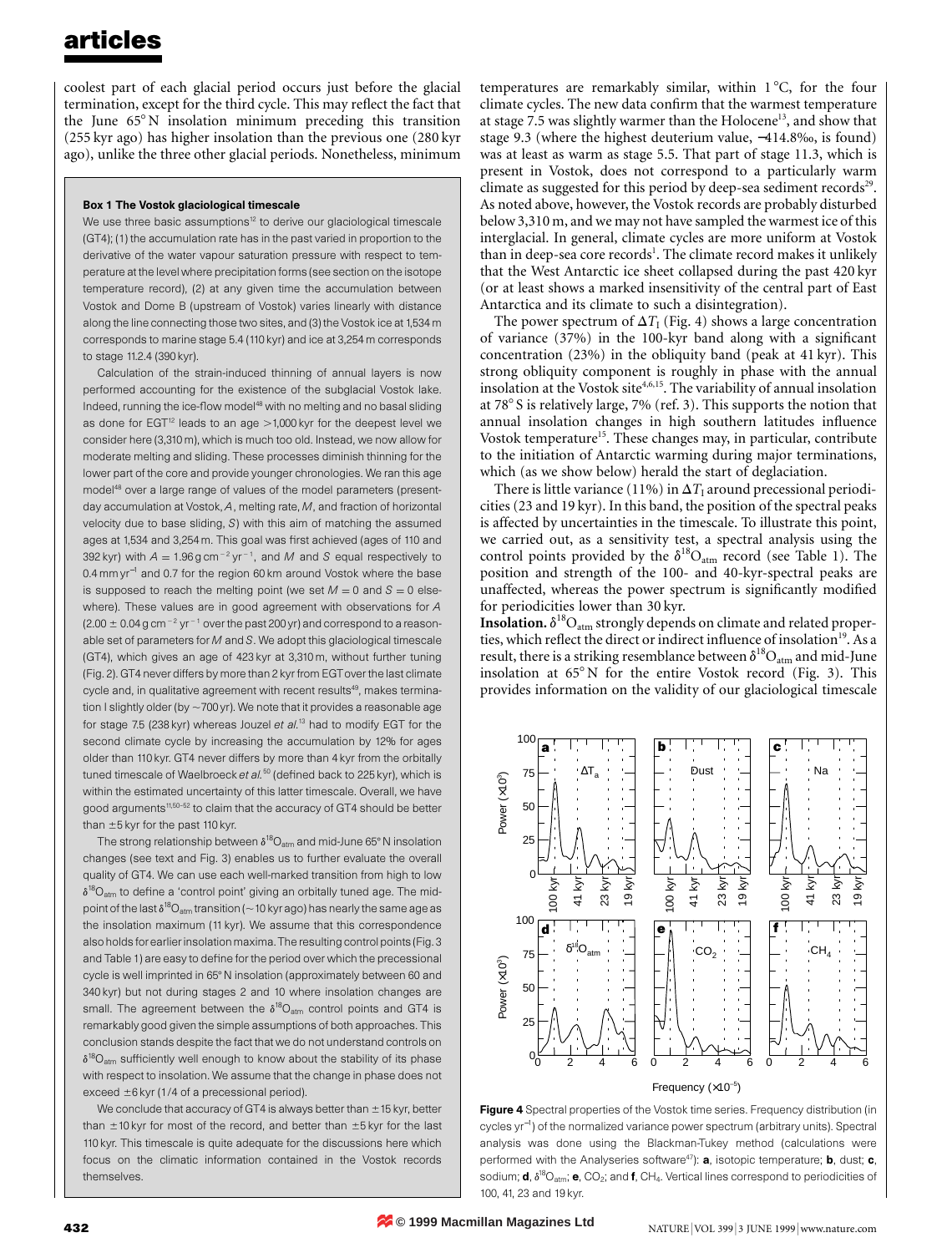coolest part of each glacial period occurs just before the glacial termination, except for the third cycle. This may reflect the fact that the June  $65^{\circ}$ N insolation minimum preceding this transition (255 kyr ago) has higher insolation than the previous one (280 kyr ago), unlike the three other glacial periods. Nonetheless, minimum

#### Box 1 The Vostok glaciological timescale

We use three basic assumptions<sup>12</sup> to derive our glaciological timescale (GT4); (1) the accumulation rate has in the past varied in proportion to the derivative of the water vapour saturation pressure with respect to temperature at the level where precipitation forms (see section on the isotope temperature record), (2) at any given time the accumulation between Vostok and Dome B (upstream of Vostok) varies linearly with distance along the line connecting those two sites, and (3) the Vostok ice at 1,534 m corresponds to marine stage 5.4 (110 kyr) and ice at 3,254 m corresponds to stage 11.2.4 (390 kyr).

Calculation of the strain-induced thinning of annual layers is now performed accounting for the existence of the subglacial Vostok lake. Indeed, running the ice-flow model<sup>48</sup> with no melting and no basal sliding as done for  $EGT<sup>12</sup>$  leads to an age  $>1,000$  kyr for the deepest level we consider here (3,310 m), which is much too old. Instead, we now allow for moderate melting and sliding. These processes diminish thinning for the lower part of the core and provide younger chronologies. We ran this age model<sup>48</sup> over a large range of values of the model parameters (presentday accumulation at Vostok, *A*, melting rate, *M*, and fraction of horizontal velocity due to base sliding, *S*) with this aim of matching the assumed ages at 1,534 and 3,254 m. This goal was first achieved (ages of 110 and 392 kyr) with  $A = 1.96$  g cm<sup>-2</sup> yr<sup>-1</sup>, and M and S equal respectively to 0.4 mm yr<sup>−</sup><sup>1</sup> and 0.7 for the region 60 km around Vostok where the base is supposed to reach the melting point (we set  $M = 0$  and  $S = 0$  elsewhere). These values are in good agreement with observations for *A*  $(2.00 \pm 0.04$  g cm<sup>-2</sup> yr<sup>-1</sup> over the past 200 yr) and correspond to a reasonable set of parameters for *M* and *S*. We adopt this glaciological timescale (GT4), which gives an age of 423 kyr at 3,310 m, without further tuning (Fig. 2). GT4 never differs by more than 2 kyr from EGTover the last climate cycle and, in qualitative agreement with recent results<sup>49</sup>, makes termination I slightly older (by  $\sim$  700 yr). We note that it provides a reasonable age for stage 7.5 (238 kyr) whereas Jouzel *et al.*<sup>13</sup> had to modify EGT for the second climate cycle by increasing the accumulation by 12% for ages older than 110 kyr. GT4 never differs by more than 4 kyr from the orbitally tuned timescale of Waelbroeck et al.<sup>50</sup> (defined back to 225 kyr), which is within the estimated uncertainty of this latter timescale. Overall, we have good arguments<sup>11,50-52</sup> to claim that the accuracy of GT4 should be better than  $\pm 5$  kyr for the past 110 kyr.

The strong relationship between  $\delta^{18}O_{atm}$  and mid-June 65° N insolation changes (see text and Fig. 3) enables us to further evaluate the overall quality of GT4. We can use each well-marked transition from high to low  $\delta^{18}O_{\text{atm}}$  to define a 'control point' giving an orbitally tuned age. The midpoint of the last  $\delta^{18}O_{atm}$  transition (~10 kyr ago) has nearly the same age as the insolation maximum (11 kyr). We assume that this correspondence also holds for earlier insolation maxima. The resulting control points (Fig. 3 and Table 1) are easy to define for the period over which the precessional cycle is well imprinted in 65°N insolation (approximately between 60 and 340 kyr) but not during stages 2 and 10 where insolation changes are small. The agreement between the  $\delta^{18}O_{\text{atm}}$  control points and GT4 is remarkably good given the simple assumptions of both approaches. This conclusion stands despite the fact that we do not understand controls on  $\delta^{18}O_{\text{atm}}$  sufficiently well enough to know about the stability of its phase with respect to insolation. We assume that the change in phase does not exceed  $\pm 6$  kyr (1/4 of a precessional period).

We conclude that accuracy of GT4 is always better than  $\pm$  15 kyr, better than  $\pm$ 10 kyr for most of the record, and better than  $\pm$ 5 kyr for the last 110 kyr. This timescale is quite adequate for the discussions here which focus on the climatic information contained in the Vostok records themselves.

temperatures are remarkably similar, within  $1^{\circ}$ C, for the four climate cycles. The new data confirm that the warmest temperature at stage 7.5 was slightly warmer than the Holocene<sup>13</sup>, and show that stage 9.3 (where the highest deuterium value, −414.8‰, is found) was at least as warm as stage 5.5. That part of stage 11.3, which is present in Vostok, does not correspond to a particularly warm climate as suggested for this period by deep-sea sediment records $2^9$ . As noted above, however, the Vostok records are probably disturbed below 3,310 m, and we may not have sampled the warmest ice of this interglacial. In general, climate cycles are more uniform at Vostok than in deep-sea core records<sup>1</sup>. The climate record makes it unlikely that the West Antarctic ice sheet collapsed during the past 420 kyr (or at least shows a marked insensitivity of the central part of East Antarctica and its climate to such a disintegration).

The power spectrum of  $\Delta T_I$  (Fig. 4) shows a large concentration of variance (37%) in the 100-kyr band along with a significant concentration (23%) in the obliquity band (peak at 41 kyr). This strong obliquity component is roughly in phase with the annual insolation at the Vostok site<sup>4,6,15</sup>. The variability of annual insolation at  $78^{\circ}$  S is relatively large, 7% (ref. 3). This supports the notion that annual insolation changes in high southern latitudes influence Vostok temperature<sup>15</sup>. These changes may, in particular, contribute to the initiation of Antarctic warming during major terminations, which (as we show below) herald the start of deglaciation.

There is little variance (11%) in  $\Delta T_1$  around precessional periodicities (23 and 19 kyr). In this band, the position of the spectral peaks is affected by uncertainties in the timescale. To illustrate this point, we carried out, as a sensitivity test, a spectral analysis using the control points provided by the  $\delta^{18}O_{\text{atm}}$  record (see Table 1). The position and strength of the 100- and 40-kyr-spectral peaks are unaffected, whereas the power spectrum is significantly modified for periodicities lower than 30 kyr.

 $\mathbf{Insolation.}\, \delta^{18}\mathrm{O}_{\mathrm{atm}}$  strongly depends on climate and related properties, which reflect the direct or indirect influence of insolation<sup>19</sup>. As a result, there is a striking resemblance between  $\delta^{18} \mathrm{O}_{\mathrm{atm}}$  and mid-June insolation at  $65^{\circ}$ N for the entire Vostok record (Fig. 3). This provides information on the validity of our glaciological timescale



Figure 4 Spectral properties of the Vostok time series. Frequency distribution (in cycles yr<sup>−</sup><sup>1</sup> ) of the normalized variance power spectrum (arbitrary units). Spectral analysis was done using the Blackman-Tukey method (calculations were performed with the Analyseries software $47$ ): **a**, isotopic temperature; **b**, dust; **c**, sodium; **d**,  $\delta^{18}\mathrm{O}_{\mathrm{atm}}$ ; **e**, CO<sub>2</sub>; and **f**, CH<sub>4</sub>. Vertical lines correspond to periodicities of 100, 41, 23 and 19 kyr.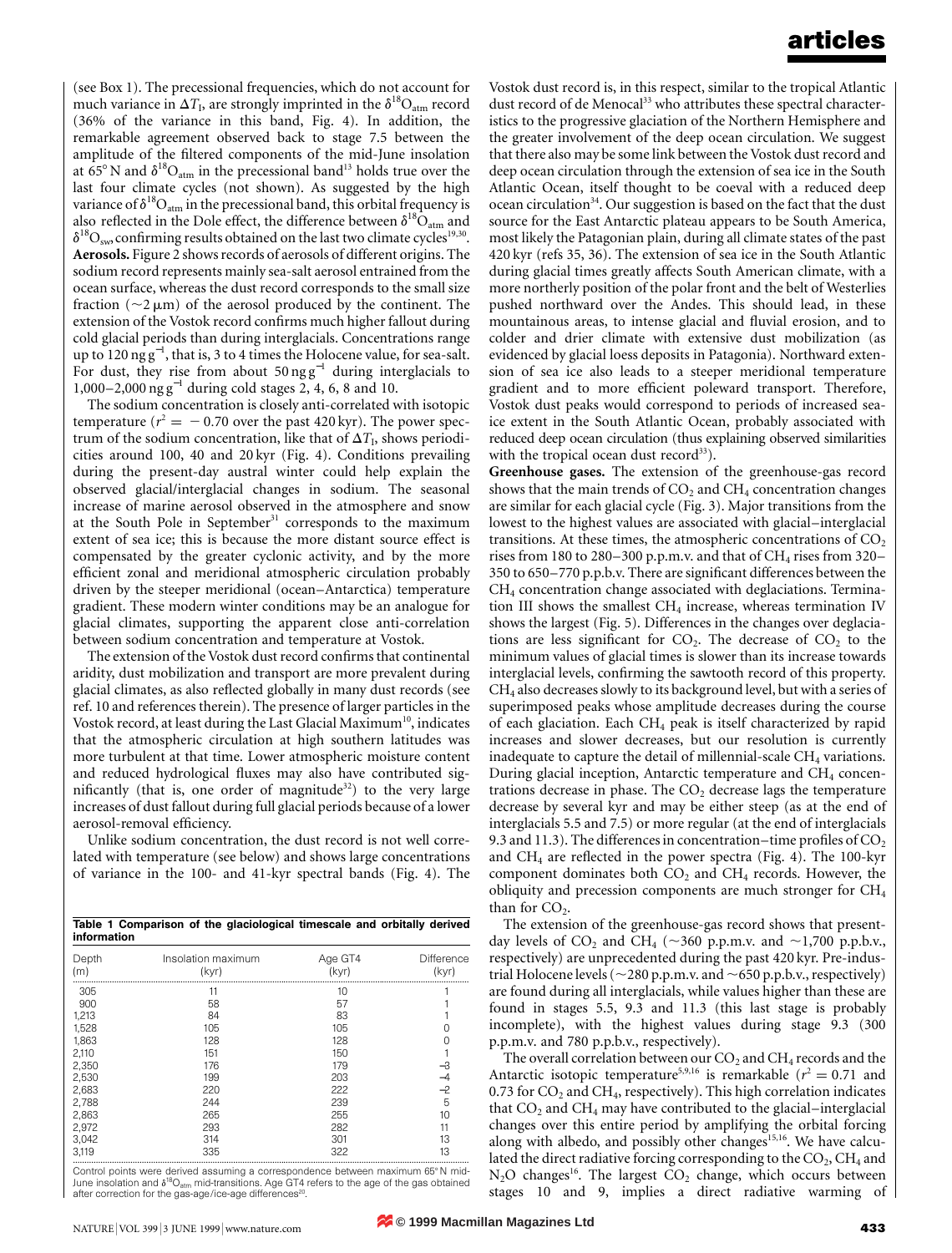(see Box 1). The precessional frequencies, which do not account for much variance in  $\Delta T_I$ , are strongly imprinted in the  $\delta^{18}O_{\text{atm}}$  record (36% of the variance in this band, Fig. 4). In addition, the remarkable agreement observed back to stage 7.5 between the amplitude of the filtered components of the mid-June insolation at  $65^{\circ}$  N and  $\delta^{18}O_{\text{atm}}$  in the precessional band<sup>13</sup> holds true over the last four climate cycles (not shown). As suggested by the high variance of  $\delta^{18}O_{atm}$  in the precessional band, this orbital frequency is also reflected in the Dole effect, the difference between  $\delta^{18}O_{atm}$  and  $\delta^{18}O_{\text{sw}}$  confirming results obtained on the last two climate cycles<sup>19,30</sup>. **Aerosols.** Figure 2 shows records of aerosols of different origins. The sodium record represents mainly sea-salt aerosol entrained from the ocean surface, whereas the dust record corresponds to the small size fraction ( $\sim$ 2  $\mu$ m) of the aerosol produced by the continent. The extension of the Vostok record confirms much higher fallout during cold glacial periods than during interglacials. Concentrations range up to 120 ng g<sup>−</sup><sup>1</sup> , that is, 3 to 4 times the Holocene value, for sea-salt. For dust, they rise from about  $50 \text{ ng g}^{-1}$  during interglacials to 1,000–2,000 ng g<sup>−</sup><sup>1</sup> during cold stages 2, 4, 6, 8 and 10.

The sodium concentration is closely anti-correlated with isotopic temperature ( $r^2 = -0.70$  over the past 420 kyr). The power spectrum of the sodium concentration, like that of  $\Delta T_{\rm b}$  shows periodicities around 100, 40 and 20 kyr (Fig. 4). Conditions prevailing during the present-day austral winter could help explain the observed glacial/interglacial changes in sodium. The seasonal increase of marine aerosol observed in the atmosphere and snow at the South Pole in September<sup>31</sup> corresponds to the maximum extent of sea ice; this is because the more distant source effect is compensated by the greater cyclonic activity, and by the more efficient zonal and meridional atmospheric circulation probably driven by the steeper meridional (ocean–Antarctica) temperature gradient. These modern winter conditions may be an analogue for glacial climates, supporting the apparent close anti-correlation between sodium concentration and temperature at Vostok.

The extension of the Vostok dust record confirms that continental aridity, dust mobilization and transport are more prevalent during glacial climates, as also reflected globally in many dust records (see ref. 10 and references therein). The presence of larger particles in the Vostok record, at least during the Last Glacial Maximum<sup>10</sup>, indicates that the atmospheric circulation at high southern latitudes was more turbulent at that time. Lower atmospheric moisture content and reduced hydrological fluxes may also have contributed significantly (that is, one order of magnitude<sup>32</sup>) to the very large increases of dust fallout during full glacial periods because of a lower aerosol-removal efficiency.

Unlike sodium concentration, the dust record is not well correlated with temperature (see below) and shows large concentrations of variance in the 100- and 41-kyr spectral bands (Fig. 4). The

| Table 1 Comparison of the glaciological timescale and orbitally derived<br>information |                             |                  |                     |
|----------------------------------------------------------------------------------------|-----------------------------|------------------|---------------------|
| Depth<br>(m)                                                                           | Insolation maximum<br>(kyr) | Age GT4<br>(kyr) | Difference<br>(kyr) |
| 305                                                                                    | 11                          | 10               |                     |
| 900                                                                                    | 58                          | 57               |                     |
| 1,213                                                                                  | 84                          | 83               |                     |
| 1,528                                                                                  | 105                         | 105              | 0                   |
| 1.863                                                                                  | 128                         | 128              | 0                   |
| 2,110                                                                                  | 151                         | 150              |                     |
| 2.350                                                                                  | 176                         | 179              | $-3$                |
| 2,530                                                                                  | 199                         | 203              | $-4$                |
| 2,683                                                                                  | 220                         | 222              | $-2$                |
| 2,788                                                                                  | 244                         | 239              | 5                   |
| 2,863                                                                                  | 265                         | 255              | 10                  |
| 2,972                                                                                  | 293                         | 282              | 11                  |
| 3,042                                                                                  | 314                         | 301              | 13                  |
| 3.119                                                                                  | 335                         | 322              | 13                  |

Control points were derived assuming a correspondence between maximum 65°N mid-June insolation and  $\delta^{18}O_{\rm atm}$  mid-transitions. Age GT4 refers to the age of the gas obtained after correction for the gas-age/ice-age differences

Vostok dust record is, in this respect, similar to the tropical Atlantic dust record of de Menocal<sup>33</sup> who attributes these spectral characteristics to the progressive glaciation of the Northern Hemisphere and the greater involvement of the deep ocean circulation. We suggest that there also may be some link between the Vostok dust record and deep ocean circulation through the extension of sea ice in the South Atlantic Ocean, itself thought to be coeval with a reduced deep  $\alpha$  ocean circulation<sup>34</sup>. Our suggestion is based on the fact that the dust source for the East Antarctic plateau appears to be South America, most likely the Patagonian plain, during all climate states of the past 420 kyr (refs 35, 36). The extension of sea ice in the South Atlantic during glacial times greatly affects South American climate, with a more northerly position of the polar front and the belt of Westerlies pushed northward over the Andes. This should lead, in these mountainous areas, to intense glacial and fluvial erosion, and to colder and drier climate with extensive dust mobilization (as evidenced by glacial loess deposits in Patagonia). Northward extension of sea ice also leads to a steeper meridional temperature gradient and to more efficient poleward transport. Therefore, Vostok dust peaks would correspond to periods of increased seaice extent in the South Atlantic Ocean, probably associated with reduced deep ocean circulation (thus explaining observed similarities with the tropical ocean dust record $33$ ).

**Greenhouse gases.** The extension of the greenhouse-gas record shows that the main trends of  $CO<sub>2</sub>$  and  $CH<sub>4</sub>$  concentration changes are similar for each glacial cycle (Fig. 3). Major transitions from the lowest to the highest values are associated with glacial–interglacial transitions. At these times, the atmospheric concentrations of  $CO<sub>2</sub>$ rises from 180 to 280–300 p.p.m.v. and that of  $CH_4$  rises from 320– 350 to 650–770 p.p.b.v. There are significant differences between the CH4 concentration change associated with deglaciations. Termination III shows the smallest  $CH<sub>4</sub>$  increase, whereas termination IV shows the largest (Fig. 5). Differences in the changes over deglaciations are less significant for  $CO<sub>2</sub>$ . The decrease of  $CO<sub>2</sub>$  to the minimum values of glacial times is slower than its increase towards interglacial levels, confirming the sawtooth record of this property.  $CH<sub>4</sub>$  also decreases slowly to its background level, but with a series of superimposed peaks whose amplitude decreases during the course of each glaciation. Each CH4 peak is itself characterized by rapid increases and slower decreases, but our resolution is currently inadequate to capture the detail of millennial-scale  $CH<sub>4</sub>$  variations. During glacial inception, Antarctic temperature and CH<sub>4</sub> concentrations decrease in phase. The  $CO<sub>2</sub>$  decrease lags the temperature decrease by several kyr and may be either steep (as at the end of interglacials 5.5 and 7.5) or more regular (at the end of interglacials 9.3 and 11.3). The differences in concentration–time profiles of  $CO<sub>2</sub>$ and  $CH_4$  are reflected in the power spectra (Fig. 4). The 100-kyr component dominates both  $CO<sub>2</sub>$  and  $CH<sub>4</sub>$  records. However, the obliquity and precession components are much stronger for CH4 than for  $CO<sub>2</sub>$ .

The extension of the greenhouse-gas record shows that presentday levels of  $CO_2$  and  $CH_4$  ( $\sim$ 360 p.p.m.v. and  $\sim$ 1,700 p.p.b.v., respectively) are unprecedented during the past 420 kyr. Pre-industrial Holocene levels ( $\sim$ 280 p.p.m.v. and  $\sim$  650 p.p.b.v., respectively) are found during all interglacials, while values higher than these are found in stages 5.5, 9.3 and 11.3 (this last stage is probably incomplete), with the highest values during stage 9.3 (300 p.p.m.v. and 780 p.p.b.v., respectively).

The overall correlation between our  $\mathrm{CO}_2$  and  $\mathrm{CH}_4$  records and the Antarctic isotopic temperature<sup>5,9,16</sup> is remarkable ( $r^2 = 0.71$  and 0.73 for  $CO<sub>2</sub>$  and  $CH<sub>4</sub>$ , respectively). This high correlation indicates that  $CO<sub>2</sub>$  and  $CH<sub>4</sub>$  may have contributed to the glacial–interglacial changes over this entire period by amplifying the orbital forcing along with albedo, and possibly other changes<sup>15,16</sup>. We have calculated the direct radiative forcing corresponding to the  $CO<sub>2</sub>$ , CH<sub>4</sub> and  $N_2O$  changes<sup>16</sup>. The largest  $CO_2$  change, which occurs between stages 10 and 9, implies a direct radiative warming of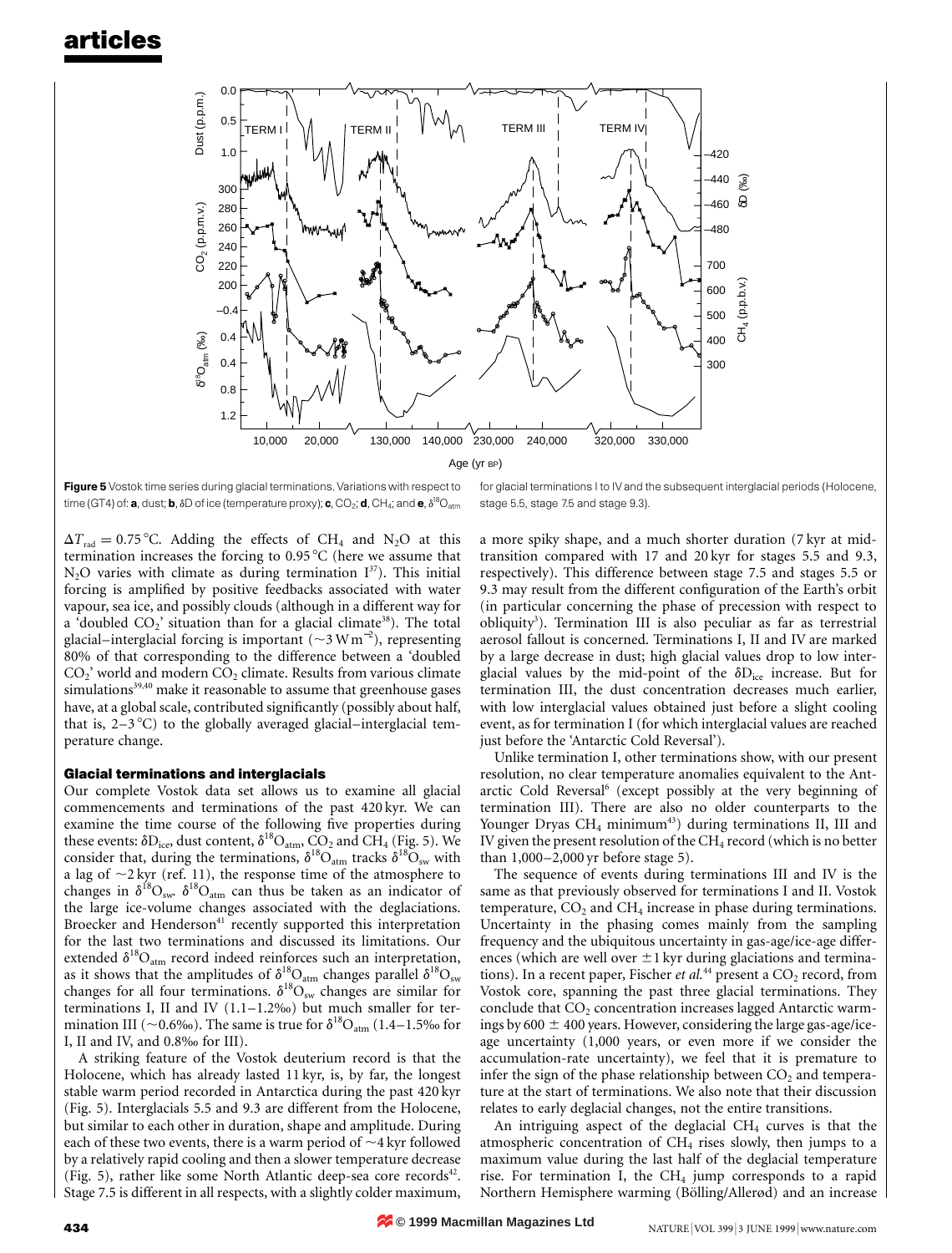

Figure 5 Vostok time series during glacial terminations. Variations with respect to time (GT4) of: **a**, dust; **b**,  $\delta$ D of ice (temperature proxy); **c**, CO<sub>2</sub>; **d**, CH<sub>4</sub>; and **e**,  $\delta^{\rm 18} \rm O_{atm}$ 

 $\Delta T_{\text{rad}} = 0.75 \text{ °C}$ . Adding the effects of CH<sub>4</sub> and N<sub>2</sub>O at this termination increases the forcing to  $0.95\,^{\circ}\text{C}$  (here we assume that  $N_2O$  varies with climate as during termination  $I^{37}$ ). This initial forcing is amplified by positive feedbacks associated with water vapour, sea ice, and possibly clouds (although in a different way for a 'doubled  $CO_2$ ' situation than for a glacial climate<sup>38</sup>). The total glacial–interglacial forcing is important ( $\sim$ 3 Wm<sup>-2</sup>), representing 80% of that corresponding to the difference between a 'doubled  $CO<sub>2</sub>$ ' world and modern  $CO<sub>2</sub>$  climate. Results from various climate simulations<sup>39,40</sup> make it reasonable to assume that greenhouse gases have, at a global scale, contributed significantly (possibly about half, that is,  $2-3$ °C) to the globally averaged glacial–interglacial temperature change.

#### **Glacial terminations and interglacials**

Our complete Vostok data set allows us to examine all glacial commencements and terminations of the past 420 kyr. We can examine the time course of the following five properties during these events:  $\delta D_{\text{ice}}$ , dust content,  $\delta^{18}O_{\text{atm}}$ ,  $CO_2$  and  $CH_4$  (Fig. 5). We consider that, during the terminations,  $\delta^{18}O_{atm}$  tracks  $\delta^{18}O_{sw}$  with a lag of  $\sim$ 2 kyr (ref. 11), the response time of the atmosphere to changes in  $\delta^{18}O_{\rm sw}$ .  $\delta^{18}O_{\rm atm}$  can thus be taken as an indicator of the large ice-volume changes associated with the deglaciations. Broecker and Henderson<sup>41</sup> recently supported this interpretation for the last two terminations and discussed its limitations. Our extended  $\delta^{18}O_{atm}$  record indeed reinforces such an interpretation, as it shows that the amplitudes of  $\delta^{18}O_{\text{atm}}$  changes parallel  $\delta^{18}O_{\text{sw}}$ changes for all four terminations.  $\delta^{18}O_{sw}$  changes are similar for terminations I, II and IV (1.1–1.2‰) but much smaller for termination III (~0.6‰). The same is true for  $\delta^{18}O_{\rm atm}$  (1.4–1.5‰ for I, II and IV, and 0.8‰ for III).

A striking feature of the Vostok deuterium record is that the Holocene, which has already lasted 11 kyr, is, by far, the longest stable warm period recorded in Antarctica during the past 420 kyr (Fig. 5). Interglacials 5.5 and 9.3 are different from the Holocene, but similar to each other in duration, shape and amplitude. During each of these two events, there is a warm period of  $\sim$ 4 kyr followed by a relatively rapid cooling and then a slower temperature decrease (Fig. 5), rather like some North Atlantic deep-sea core records $42$ . Stage 7.5 is different in all respects, with a slightly colder maximum,

for glacial terminations I to IV and the subsequent interglacial periods (Holocene, stage 5.5, stage 7.5 and stage 9.3).

a more spiky shape, and a much shorter duration (7 kyr at midtransition compared with 17 and 20 kyr for stages 5.5 and 9.3, respectively). This difference between stage 7.5 and stages 5.5 or 9.3 may result from the different configuration of the Earth's orbit (in particular concerning the phase of precession with respect to obliquity<sup>3</sup>). Termination III is also peculiar as far as terrestrial aerosol fallout is concerned. Terminations I, II and IV are marked by a large decrease in dust; high glacial values drop to low interglacial values by the mid-point of the  $\delta D_{ice}$  increase. But for termination III, the dust concentration decreases much earlier, with low interglacial values obtained just before a slight cooling event, as for termination I (for which interglacial values are reached just before the 'Antarctic Cold Reversal').

Unlike termination I, other terminations show, with our present resolution, no clear temperature anomalies equivalent to the Antarctic Cold Reversal<sup>6</sup> (except possibly at the very beginning of termination III). There are also no older counterparts to the Younger Dryas  $CH_4$  minimum<sup>43</sup>) during terminations II, III and IV given the present resolution of the  $CH_4$  record (which is no better than 1,000–2,000 yr before stage 5).

The sequence of events during terminations III and IV is the same as that previously observed for terminations I and II. Vostok temperature,  $CO<sub>2</sub>$  and  $CH<sub>4</sub>$  increase in phase during terminations. Uncertainty in the phasing comes mainly from the sampling frequency and the ubiquitous uncertainty in gas-age/ice-age differences (which are well over  $\pm 1$  kyr during glaciations and terminations). In a recent paper, Fischer et al.<sup>44</sup> present a CO<sub>2</sub> record, from Vostok core, spanning the past three glacial terminations. They conclude that  $CO<sub>2</sub>$  concentration increases lagged Antarctic warmings by 600  $\pm$  400 years. However, considering the large gas-age/iceage uncertainty (1,000 years, or even more if we consider the accumulation-rate uncertainty), we feel that it is premature to infer the sign of the phase relationship between  $CO<sub>2</sub>$  and temperature at the start of terminations. We also note that their discussion relates to early deglacial changes, not the entire transitions.

An intriguing aspect of the deglacial  $CH<sub>4</sub>$  curves is that the atmospheric concentration of  $CH<sub>4</sub>$  rises slowly, then jumps to a maximum value during the last half of the deglacial temperature rise. For termination I, the  $CH<sub>4</sub>$  jump corresponds to a rapid Northern Hemisphere warming (Bölling/Allerød) and an increase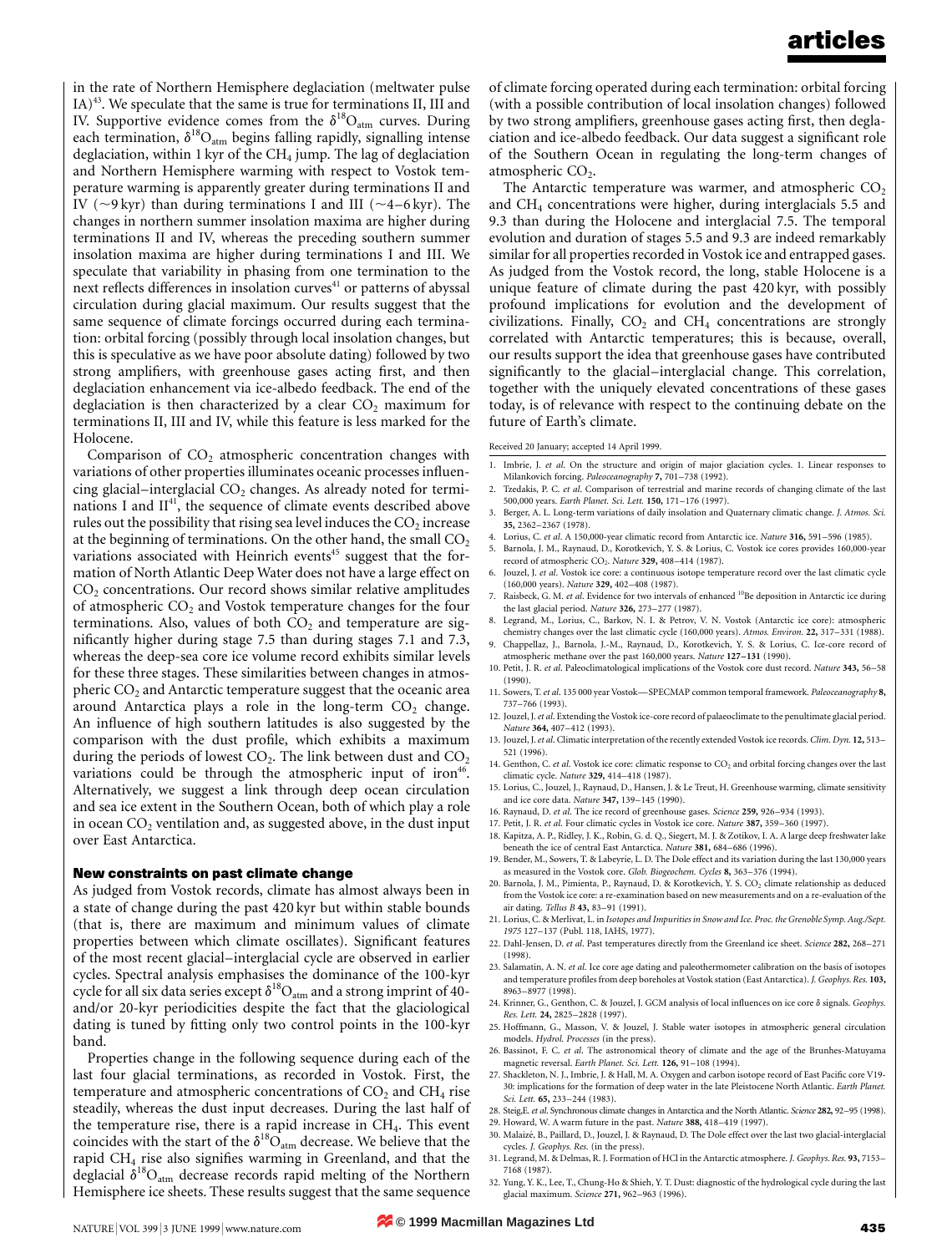in the rate of Northern Hemisphere deglaciation (meltwater pulse  $IA)^{43}$ . We speculate that the same is true for terminations II, III and IV. Supportive evidence comes from the  $\delta^{18}O_{\text{atm}}$  curves. During each termination,  $\delta^{18}O_{\rm atm}$  begins falling rapidly, signalling intense deglaciation, within 1 kyr of the  $CH<sub>4</sub>$  jump. The lag of deglaciation and Northern Hemisphere warming with respect to Vostok temperature warming is apparently greater during terminations II and IV ( $\sim$ 9 kyr) than during terminations I and III ( $\sim$ 4–6 kyr). The changes in northern summer insolation maxima are higher during terminations II and IV, whereas the preceding southern summer insolation maxima are higher during terminations I and III. We speculate that variability in phasing from one termination to the next reflects differences in insolation curves<sup>41</sup> or patterns of abyssal circulation during glacial maximum. Our results suggest that the same sequence of climate forcings occurred during each termination: orbital forcing (possibly through local insolation changes, but this is speculative as we have poor absolute dating) followed by two strong amplifiers, with greenhouse gases acting first, and then deglaciation enhancement via ice-albedo feedback. The end of the deglaciation is then characterized by a clear  $CO<sub>2</sub>$  maximum for terminations II, III and IV, while this feature is less marked for the Holocene.

Comparison of  $CO<sub>2</sub>$  atmospheric concentration changes with variations of other properties illuminates oceanic processes influencing glacial–interglacial  $CO<sub>2</sub>$  changes. As already noted for terminations I and  $II<sup>41</sup>$ , the sequence of climate events described above rules out the possibility that rising sea level induces the  $CO<sub>2</sub>$  increase at the beginning of terminations. On the other hand, the small  $CO<sub>2</sub>$ variations associated with Heinrich events<sup>45</sup> suggest that the formation of North Atlantic Deep Water does not have a large effect on CO<sub>2</sub> concentrations. Our record shows similar relative amplitudes of atmospheric  $CO<sub>2</sub>$  and Vostok temperature changes for the four terminations. Also, values of both  $CO<sub>2</sub>$  and temperature are significantly higher during stage 7.5 than during stages 7.1 and 7.3, whereas the deep-sea core ice volume record exhibits similar levels for these three stages. These similarities between changes in atmospheric  $CO<sub>2</sub>$  and Antarctic temperature suggest that the oceanic area around Antarctica plays a role in the long-term  $CO<sub>2</sub>$  change. An influence of high southern latitudes is also suggested by the comparison with the dust profile, which exhibits a maximum during the periods of lowest  $CO<sub>2</sub>$ . The link between dust and  $CO<sub>2</sub>$ variations could be through the atmospheric input of iron<sup>46</sup>. Alternatively, we suggest a link through deep ocean circulation and sea ice extent in the Southern Ocean, both of which play a role in ocean  $CO<sub>2</sub>$  ventilation and, as suggested above, in the dust input over East Antarctica.

#### **New constraints on past climate change**

As judged from Vostok records, climate has almost always been in a state of change during the past 420 kyr but within stable bounds (that is, there are maximum and minimum values of climate properties between which climate oscillates). Significant features of the most recent glacial–interglacial cycle are observed in earlier cycles. Spectral analysis emphasises the dominance of the 100-kyr cycle for all six data series except  $\delta^{18}O_{\rm atm}$  and a strong imprint of 40and/or 20-kyr periodicities despite the fact that the glaciological dating is tuned by fitting only two control points in the 100-kyr band.

Properties change in the following sequence during each of the last four glacial terminations, as recorded in Vostok. First, the temperature and atmospheric concentrations of  $CO<sub>2</sub>$  and  $CH<sub>4</sub>$  rise steadily, whereas the dust input decreases. During the last half of the temperature rise, there is a rapid increase in  $CH<sub>4</sub>$ . This event coincides with the start of the  $\delta^{18}O_{\text{atm}}$  decrease. We believe that the rapid CH4 rise also signifies warming in Greenland, and that the deglacial  $\delta^{18}O_{atm}$  decrease records rapid melting of the Northern Hemisphere ice sheets. These results suggest that the same sequence

of climate forcing operated during each termination: orbital forcing (with a possible contribution of local insolation changes) followed by two strong amplifiers, greenhouse gases acting first, then deglaciation and ice-albedo feedback. Our data suggest a significant role of the Southern Ocean in regulating the long-term changes of atmospheric  $CO<sub>2</sub>$ .

The Antarctic temperature was warmer, and atmospheric  $CO<sub>2</sub>$ and  $CH<sub>4</sub>$  concentrations were higher, during interglacials 5.5 and 9.3 than during the Holocene and interglacial 7.5. The temporal evolution and duration of stages 5.5 and 9.3 are indeed remarkably similar for all properties recorded in Vostok ice and entrapped gases. As judged from the Vostok record, the long, stable Holocene is a unique feature of climate during the past 420 kyr, with possibly profound implications for evolution and the development of civilizations. Finally,  $CO<sub>2</sub>$  and  $CH<sub>4</sub>$  concentrations are strongly correlated with Antarctic temperatures; this is because, overall, our results support the idea that greenhouse gases have contributed significantly to the glacial–interglacial change. This correlation, together with the uniquely elevated concentrations of these gases today, is of relevance with respect to the continuing debate on the future of Earth's climate.

Received 20 January; accepted 14 April 1999.

- 1. Imbrie, J. *et al*. On the structure and origin of major glaciation cycles. 1. Linear responses to Milankovich forcing. *Paleoceanography* **7,** 701–738 (1992).
- 2. Tzedakis, P. C. *et al*. Comparison of terrestrial and marine records of changing climate of the last 500,000 years. *Earth Planet. Sci. Lett.* **150,** 171–176 (1997).
- 3. Berger, A. L. Long-term variations of daily insolation and Quaternary climatic change. *J. Atmos. Sci.* **35,** 2362–2367 (1978).
- 4. Lorius, C. *et al*. A 150,000-year climatic record from Antarctic ice. *Nature* **316,** 591–596 (1985).
- 5. Barnola, J. M., Raynaud, D., Korotkevich, Y. S. & Lorius, C. Vostok ice cores provides 160,000-year record of atmospheric CO2. *Nature* **329,** 408–414 (1987).
- 6. Jouzel, J. *et al*. Vostok ice core: a continuous isotope temperature record over the last climatic cycle (160,000 years). *Nature* **329,** 402–408 (1987).
- 7. Raisbeck, G. M. *et al*. Evidence for two intervals of enhanced 10Be deposition in Antarctic ice during the last glacial period. *Nature* **326,** 273–277 (1987).
- 8. Legrand, M., Lorius, C., Barkov, N. I. & Petrov, V. N. Vostok (Antarctic ice core): atmospheric chemistry changes over the last climatic cycle (160,000 years). *Atmos. Environ.* **22,** 317–331 (1988). 9. Chappellaz, J., Barnola, J.-M., Raynaud, D., Korotkevich, Y. S. & Lorius, C. Ice-core record of
- atmospheric methane over the past 160,000 years. *Nature* **127–131** (1990). 10. Petit, J. R. *et al*. Paleoclimatological implications of the Vostok core dust record. *Nature* **343,** 56–58
- (1990). 11. Sowers, T. *et al*. 135 000 year Vostok—SPECMAP common temporal framework. *Paleoceanography* **8,** 737–766 (1993).
- 12. Jouzel, J.*et al*. Extending the Vostok ice-core record of palaeoclimate to the penultimate glacial period. *Nature* **364,** 407–412 (1993).
- 13. Jouzel, J.*et al*. Climatic interpretation of the recently extended Vostok ice records. *Clim. Dyn.* **12,** 513– 521 (1996).
- 14. Genthon, C. *et al.* Vostok ice core: climatic response to  $CO<sub>2</sub>$  and orbital forcing changes over the last climatic cycle. *Nature* **329,** 414–418 (1987).
- 15. Lorius, C., Jouzel, J., Raynaud, D., Hansen, J. & Le Treut, H. Greenhouse warming, climate sensitivity and ice core data. *Nature* **347,** 139–145 (1990).
- 16. Raynaud, D. *et al*. The ice record of greenhouse gases. *Science* **259,** 926–934 (1993).
- 17. Petit, J. R. *et al*. Four climatic cycles in Vostok ice core. *Nature* **387,** 359–360 (1997).
- 18. Kapitza, A. P., Ridley, J. K., Robin, G. d. Q., Siegert, M. J. & Zotikov, I. A. A large deep freshwater lake beneath the ice of central East Antarctica. *Nature* **381,** 684–686 (1996).
- 19. Bender, M., Sowers, T. & Labeyrie, L. D. The Dole effect and its variation during the last 130,000 years as measured in the Vostok core. *Glob. Biogeochem. Cycles* **8,** 363–376 (1994).
- 20. Barnola, J. M., Pimienta, P., Raynaud, D. & Korotkevich, Y. S.  $CO_2$  climate relationship as deduced from the Vostok ice core: a re-examination based on new measurements and on a re-evaluation of the air dating. *Tellus B* **43,** 83–91 (1991).
- 21. Lorius, C. & Merlivat, L. in *Isotopes and Impurities in Snow and Ice. Proc. the Grenoble Symp. Aug./Sept. 1975* 127–137 (Publ. 118, IAHS, 1977).
- 22. Dahl-Jensen, D. *et al*. Past temperatures directly from the Greenland ice sheet. *Science* **282,** 268–271 (1998).
- 23. Salamatin, A. N. *et al*. Ice core age dating and paleothermometer calibration on the basis of isotopes and temperature profiles from deep boreholes at Vostok station (East Antarctica). *J. Geophys. Res.* **103,** 8963–8977 (1998).
- 24. Krinner, G., Genthon, C. & Jouzel, J. GCM analysis of local influences on ice core d signals. *Geophys. Res. Lett.* **24,** 2825–2828 (1997).
- 25. Hoffmann, G., Masson, V. & Jouzel, J. Stable water isotopes in atmospheric general circulation models. *Hydrol. Processes* (in the press).
- 26. Bassinot, F. C. *et al*. The astronomical theory of climate and the age of the Brunhes-Matuyama magnetic reversal. *Earth Planet. Sci. Lett.* **126,** 91–108 (1994).
- 27. Shackleton, N. J., Imbrie, J. & Hall, M. A. Oxygen and carbon isotope record of East Pacific core V19- 30: implications for the formation of deep water in the late Pleistocene North Atlantic. *Earth Planet. Sci. Lett.* **65,** 233–244 (1983).
- 28. Steig,E. *et al*. Synchronous climate changes in Antarctica and the North Atlantic. *Science* **282,** 92–95 (1998).
- 29. Howard, W. A warm future in the past. *Nature* **388,** 418–419 (1997).
- 30. Malaize´, B., Paillard, D., Jouzel, J. & Raynaud, D. The Dole effect over the last two glacial-interglacial cycles. *J. Geophys. Res.* (in the press).
- 31. Legrand, M. & Delmas, R. J. Formation of HCl in the Antarctic atmosphere. *J. Geophys. Res.* **93,** 7153– 7168 (1987).
- 32. Yung, Y. K., Lee, T., Chung-Ho & Shieh, Y. T. Dust: diagnostic of the hydrological cycle during the last glacial maximum. *Science* **271,** 962–963 (1996).